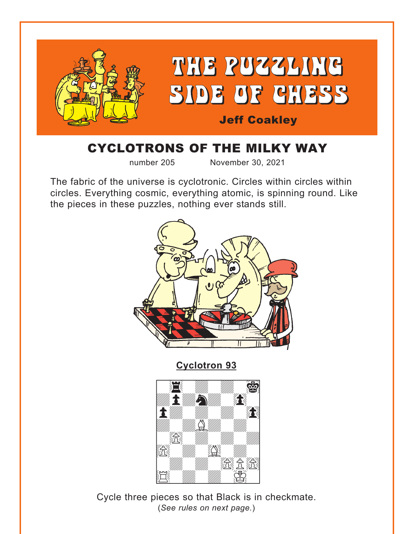<span id="page-0-0"></span>

# CYCLOTRONS OF THE MILKY WAY

number 205 November 30, 2021

The fabric of the universe is cyclotronic. Circles within circles within circles. Everything cosmic, everything atomic, is spinning round. Like the pieces in these puzzles, nothing ever stands still.



**Cyclotron 93**



Cycle three pieces so that Black is in checkmate. (*See rules on next page.*)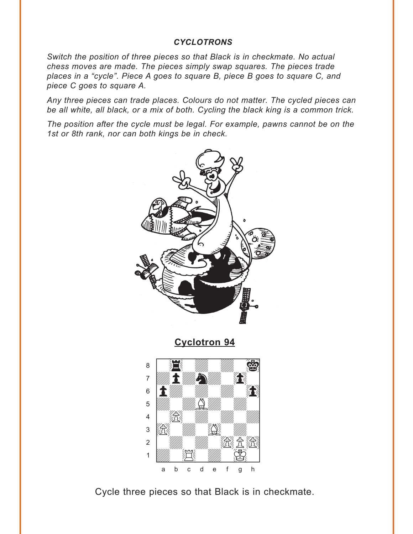#### **CYCLOTRONS**

<span id="page-1-0"></span>Switch the position of three pieces so that Black is in checkmate. No actual chess moves are made. The pieces simply swap squares. The pieces trade places in a "cycle". Piece A goes to square B, piece B goes to square C, and piece C goes to square A.

Any three pieces can trade places. Colours do not matter. The cycled pieces can be all white, all black, or a mix of both. Cycling the black king is a common trick.

The position after the cycle must be legal. For example, pawns cannot be on the 1st or 8th rank, nor can both kings be in check.



**Cyclotron 94** 



Cycle three pieces so that Black is in checkmate.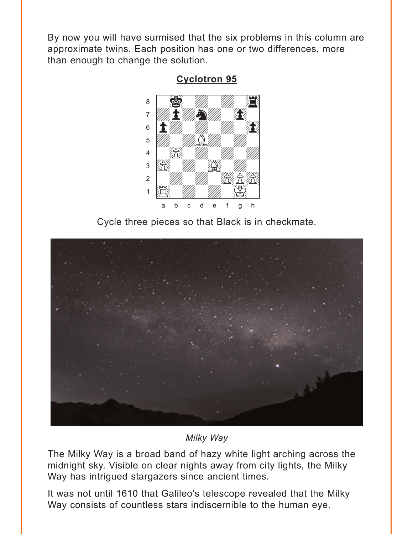<span id="page-2-0"></span>By now you will have surmised that the six problems in this column are approximate twins. Each position has one or two differences, more than enough to change the solution.



**Cyclotron 95** 

Cycle three pieces so that Black is in checkmate.



Milky Way

The Milky Way is a broad band of hazy white light arching across the midnight sky. Visible on clear nights away from city lights, the Milky Way has intrigued stargazers since ancient times.

It was not until 1610 that Galileo's telescope revealed that the Milky Way consists of countless stars indiscernible to the human eye.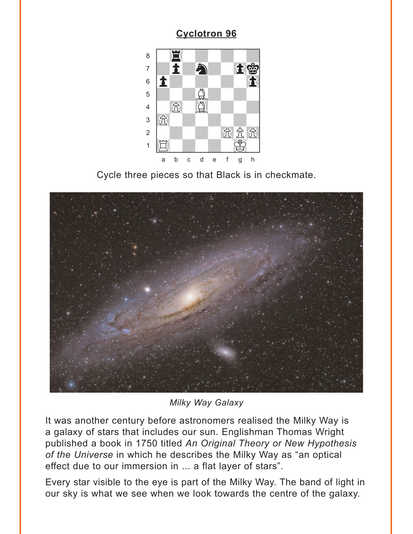<span id="page-3-0"></span>

Cycle three pieces so that Black is in checkmate.



Milky Way Galaxy

It was another century before astronomers realised the Milky Way is a galaxy of stars that includes our sun. Englishman Thomas Wright published a book in 1750 titled An Original Theory or New Hypothesis of the Universe in which he describes the Milky Way as "an optical effect due to our immersion in ... a flat layer of stars".

Every star visible to the eye is part of the Milky Way. The band of light in our sky is what we see when we look towards the centre of the galaxy.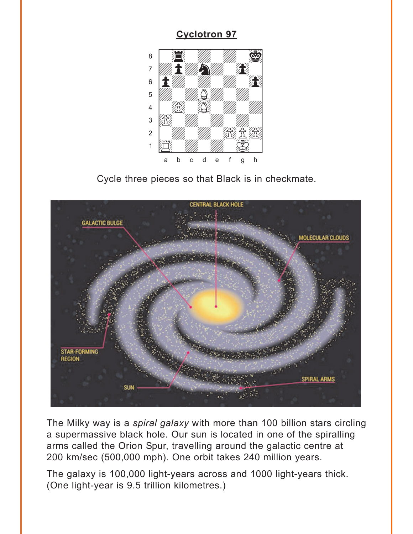<span id="page-4-0"></span>

Cycle three pieces so that Black is in checkmate.



The Milky way is a spiral galaxy with more than 100 billion stars circling a supermassive black hole. Our sun is located in one of the spiralling arms called the Orion Spur, travelling around the galactic centre at 200 km/sec (500,000 mph). One orbit takes 240 million years.

The galaxy is 100,000 light-years across and 1000 light-years thick. (One light-year is 9.5 trillion kilometres.)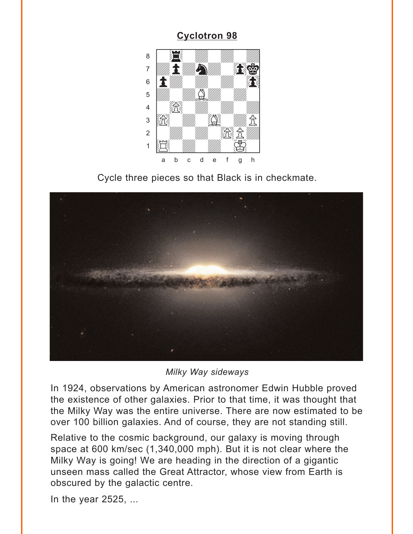<span id="page-5-0"></span>

Cycle three pieces so that Black is in checkmate.



Milky Way sideways

In 1924, observations by American astronomer Edwin Hubble proved the existence of other galaxies. Prior to that time, it was thought that the Milky Way was the entire universe. There are now estimated to be over 100 billion galaxies. And of course, they are not standing still.

Relative to the cosmic background, our galaxy is moving through space at 600 km/sec (1,340,000 mph). But it is not clear where the Milky Way is going! We are heading in the direction of a gigantic unseen mass called the Great Attractor, whose view from Earth is obscured by the galactic centre.

In the year  $2525, \ldots$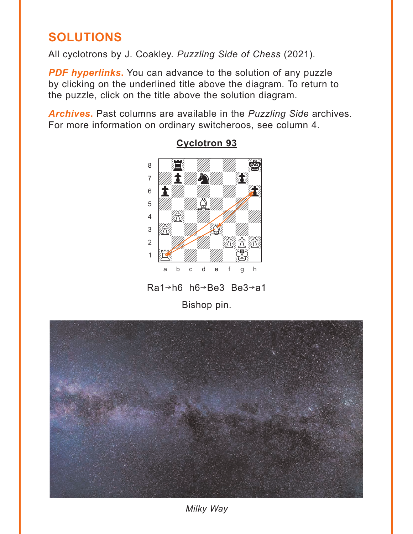## <span id="page-6-0"></span>**SOLUTIONS**

All cyclotrons by J. Coakley. Puzzling Side of Chess (2021).

PDF hyperlinks. You can advance to the solution of any puzzle by clicking on the underlined title above the diagram. To return to the puzzle, click on the title above the solution diagram.

**Archives.** Past columns are available in the Puzzling Side archives. For more information on ordinary switcheroos, see column 4.



**Cyclotron 93** 

Ra1→h6 h6→Be3 Be3→a1

Bishop pin.



Milky Way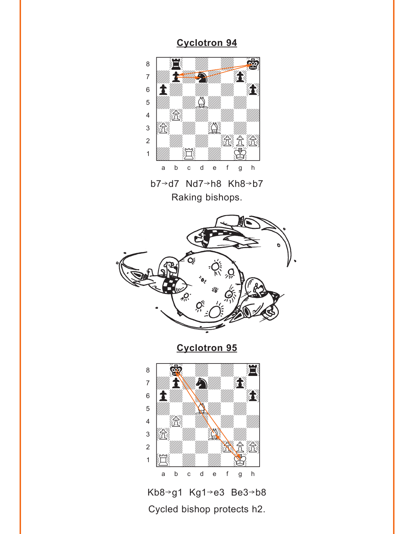<span id="page-7-0"></span>

b7-d7 Nd7-h8 Kh8-b7 Raking bishops.



**[Cyclotron 95](#page-2-0)**



Kb8-g1 Kg1-e3 Be3-b8 Cycled bishop protects h2.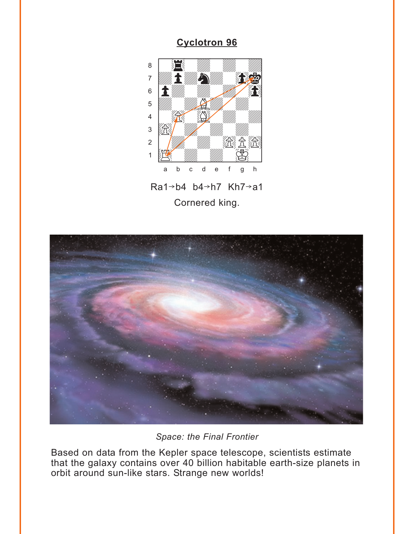<span id="page-8-0"></span>

Ra1-b4 b4-h7 Kh7-a1 Cornered king.



Space: the Final Frontier

Based on data from the Kepler space telescope, scientists estimate that the galaxy contains over 40 billion habitable earth-size planets in orbit around sun-like stars. Strange new worlds!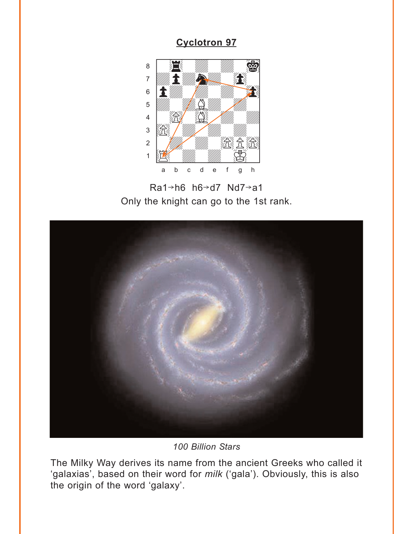<span id="page-9-0"></span>

Ra1→h6 h6→d7 Nd7→a1 Only the knight can go to the 1st rank.



100 Billion Stars

The Milky Way derives its name from the ancient Greeks who called it 'galaxias', based on their word for milk ('gala'). Obviously, this is also the origin of the word 'galaxy'.